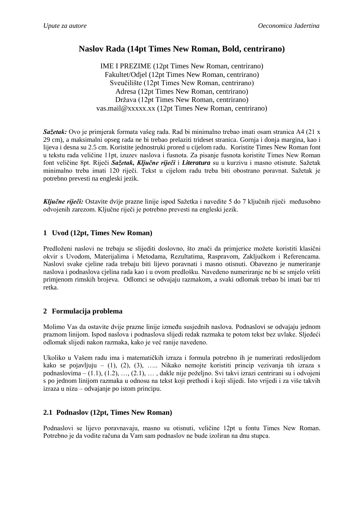## **Naslov Rada (14pt Times New Roman, Bold, centrirano)**

IME I PREZIME (12pt Times New Roman, centrirano) Fakultet/Odjel (12pt Times New Roman, centrirano) Sveučilište (12pt Times New Roman, centrirano) Adresa (12pt Times New Roman, centrirano) Država (12pt Times New Roman, centrirano) vas.mail@xxxxx.xx (12pt Times New Roman, centrirano)

*Sažetak:* Ovo je primjerak formata vašeg rada. Rad bi minimalno trebao imati osam stranica A4 (21 x 29 cm), a maksimalni opseg rada ne bi trebao prelaziti trideset stranica. Gornja i donja margina, kao i lijeva i desna su 2.5 cm. Koristite jednostruki prored u cijelom radu. Koristite Times New Roman font u tekstu rada veličine 11pt, izuzev naslova i fusnota. Za pisanje fusnota koristite Times New Roman font veličine 8pt. Riječi *Sažetak, Ključne riječi* i *Literatura* su u kurzivu i masno otisnute. Sažetak minimalno treba imati 120 riječi. Tekst u cijelom radu treba biti obostrano poravnat. Sažetak je potrebno prevesti na engleski jezik.

*Ključne riječi:* Ostavite dvije prazne linije ispod Sažetka i navedite 5 do 7 ključnih riječi međusobno odvojenih zarezom. Ključne riječi je potrebno prevesti na engleski jezik.

## **1 Uvod (12pt, Times New Roman)**

Predloženi naslovi ne trebaju se slijediti doslovno, što znači da primjerice možete koristiti klasični okvir s Uvodom, Materijalima i Metodama, Rezultatima, Raspravom, Zaključkom i Referencama. Naslovi svake cjeline rada trebaju biti lijevo poravnati i masno otisnuti. Obavezno je numeriranje naslova i podnaslova cjelina rada kao i u ovom predlošku. Navedeno numeriranje ne bi se smjelo vršiti primjenom rimskih brojeva. Odlomci se odvajaju razmakom, a svaki odlomak trebao bi imati bar tri retka.

## **2 Formulacija problema**

Molimo Vas da ostavite dvije prazne linije između susjednih naslova. Podnaslovi se odvajaju jednom praznom linijom. Ispod naslova i podnaslova slijedi redak razmaka te potom tekst bez uvlake. Sljedeći odlomak slijedi nakon razmaka, kako je već ranije navedeno.

Ukoliko u Vašem radu ima i matematičkih izraza i formula potrebno ih je numerirati redoslijedom kako se pojavljuju –  $(1)$ ,  $(2)$ ,  $(3)$ , ..... Nikako nemojte koristiti princip vezivanja tih izraza s podnaslovima – (1.1), (1.2), …, (2.1), … , dakle nije poželjno. Svi takvi izrazi centrirani su i odvojeni s po jednom linijom razmaka u odnosu na tekst koji prethodi i koji slijedi. Isto vrijedi i za više takvih izraza u nizu – odvajanje po istom principu.

## **2.1 Podnaslov (12pt, Times New Roman)**

Podnaslovi se lijevo poravnavaju, masno su otisnuti, veličine 12pt u fontu Times New Roman. Potrebno je da vodite računa da Vam sam podnaslov ne bude izoliran na dnu stupca.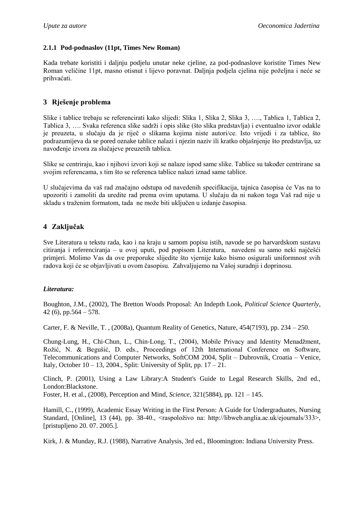### **2.1.1 Pod-podnaslov (11pt, Times New Roman)**

Kada trebate koristiti i daljnju podjelu unutar neke cjeline, za pod-podnaslove koristite Times New Roman veličine 11pt, masno otisnut i lijevo poravnat. Daljnja podjela cjelina nije poželjna i neće se prihvaćati.

### **3 Rješenje problema**

Slike i tablice trebaju se referencirati kako slijedi: Slika 1, Slika 2, Slika 3, …., Tablica 1, Tablica 2, Tablica 3, …. Svaka referenca slike sadrži i opis slike (što slika predstavlja) i eventualno izvor odakle je preuzeta, u slučaju da je riječ o slikama kojima niste autori/ce. Isto vrijedi i za tablice, što podrazumijeva da se pored oznake tablice nalazi i njezin naziv ili kratko objašnjenje što predstavlja, uz navođenje izvora za slučajeve preuzetih tablica.

Slike se centriraju, kao i njihovi izvori koji se nalaze ispod same slike. Tablice su također centrirane sa svojim referencama, s tim što se referenca tablice nalazi iznad same tablice.

U slučajevima da vaš rad značajno odstupa od navedenih specifikacija, tajnica časopisa će Vas na to upozoriti i zamoliti da uredite rad prema ovim uputama. U slučaju da ni nakon toga Vaš rad nije u skladu s traženim formatom, tada ne može biti uključen u izdanje časopisa.

## **4 Zaključak**

Sve Literatura u tekstu rada, kao i na kraju u samom popisu istih, navode se po harvardskom sustavu citiranja i referenciranja – u ovoj uputi, pod popisom Literatura, navedeni su samo neki najčešći primjeri. Molimo Vas da ove preporuke slijedite što vjernije kako bismo osigurali uniformnost svih radova koji će se objavljivati u ovom časopisu. Zahvaljujemo na Vašoj suradnji i doprinosu.

### *Literatura:*

Boughton, J.M., (2002), The Bretton Woods Proposal: An Indepth Look, *Political Science Quarterly*, 42 $(6)$ , pp.564 – 578.

Carter, F. & Neville, T. , (2008a), Quantum Reality of Genetics, Nature, 454(7193), pp. 234 – 250.

Chung‐Lung, H., Chi‐Chun, L., Chin‐Long, T., (2004), Mobile Privacy and Identity Menadžment, Rožić, N. & Begušić, D. eds., Proceedings of 12th International Conference on Software, Telecommunications and Computer Networks, SoftCOM 2004, Split – Dubrovnik, Croatia – Venice, Italy, October 10 – 13, 2004., Split: University of Split, pp.  $17 - 21$ .

Clinch, P. (2001), Using a Law Library:A Student's Guide to Legal Research Skills, 2nd ed., London:Blackstone.

Foster, H. et al., (2008), Perception and Mind, *Science*, 321(5884), pp. 121 – 145.

Hamill, C., (1999), Academic Essay Writing in the First Person: A Guide for Undergraduates, Nursing Standard, [Online], 13 (44), pp. 38-40., <raspoloživo na: http://libweb.anglia.ac.uk/ejournals/333>, [pristupljeno 20. 07. 2005.].

Kirk, J. & Munday, R.J. (1988), Narrative Analysis, 3rd ed., Bloomington: Indiana University Press.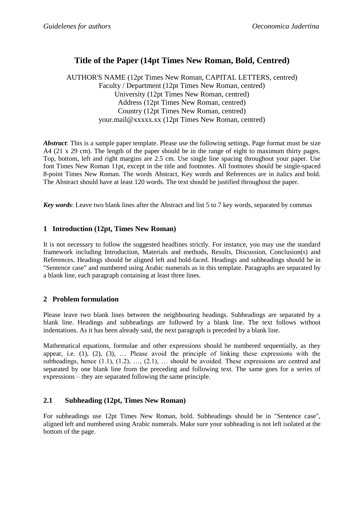# **Title of the Paper (14pt Times New Roman, Bold, Centred)**

AUTHOR'S NAME (12pt Times New Roman, CAPITAL LETTERS, centred) Faculty / Department (12pt Times New Roman, centred) University (12pt Times New Roman, centred) Address (12pt Times New Roman, centred) Country (12pt Times New Roman, centred) your.mail@xxxxx.xx (12pt Times New Roman, centred)

*Abstract*: This is a sample paper template. Please use the following settings. Page format must be size A4 (21 x 29 cm). The length of the paper should be in the range of eight to maximum thirty pages. Top, bottom, left and right margins are 2.5 cm. Use single line spacing throughout your paper. Use font Times New Roman 11pt, except in the title and footnotes. All footnotes should be single-spaced 8-point Times New Roman. The words Abstract, Key words and References are in italics and bold. The Abstract should have at least 120 words. The text should be justified throughout the paper.

*Key words*: Leave two blank lines after the Abstract and list 5 to 7 key words, separated by commas

## **1 Introduction (12pt, Times New Roman)**

It is not necessary to follow the suggested headlines strictly. For instance, you may use the standard framework including Introduction, Materials and methods, Results, Discussion, Conclusion(s) and References. Headings should be aligned left and bold-faced. Headings and subheadings should be in "Sentence case" and numbered using Arabic numerals as in this template. Paragraphs are separated by a blank line, each paragraph containing at least three lines.

### **2 Problem formulation**

Please leave two blank lines between the neighbouring headings. Subheadings are separated by a blank line. Headings and subheadings are followed by a blank line. The text follows without indentations. As it has been already said, the next paragraph is preceded by a blank line.

Mathematical equations, formulae and other expressions should be numbered sequentially, as they appear, i.e.  $(1)$ ,  $(2)$ ,  $(3)$ ,  $\ldots$  Please avoid the principle of linking these expressions with the subheadings, hence  $(1.1)$ ,  $(1.2)$ , ...,  $(2.1)$ , ... should be avoided. These expressions are centred and separated by one blank line from the preceding and following text. The same goes for a series of expressions – they are separated following the same principle.

## **2.1 Subheading (12pt, Times New Roman)**

For subheadings use 12pt Times New Roman, bold. Subheadings should be in "Sentence case", aligned left and numbered using Arabic numerals. Make sure your subheading is not left isolated at the bottom of the page.